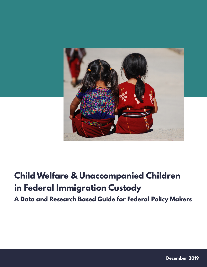

# **Child Welfare & Unaccompanied Children in Federal Immigration Custody**

**A Data and Research Based Guide for Federal Policy Makers**

**December 2019**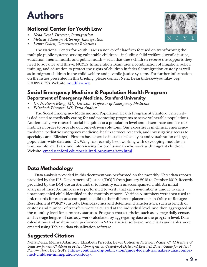# **Authors**

# **National Center for Youth Law**

- *• Neha Desai, Director, Immigration*
- *• Melissa Adamson, Attorney, Immigration*
- *• Lewis Cohen, Government Relations*



The National Center for Youth Law is a non-profit law firm focused on transforming the multiple public systems serving vulnerable children – including child welfare, juvenile justice, education, mental health, and public health – such that these children receive the supports they need to advance and thrive. NCYL's Immigration Team uses a combination of litigation, policy, training, and education to protect the rights of children in federal immigration custody as well as immigrant children in the child welfare and juvenile justice systems. For further information on the issues presented in this briefing, please contact Neha Desai (ndesai@youthlaw.org; 510.899.6577). Website: [youthlaw.org](http://youthlaw.org).

### **Social Emergency Medicine & Population Health Program Department of Emergency Medicine, Stanford University**

- *• Dr. N. Ewen Wang, MD, Director, Professor of Emergency Medicine*
- *• Elizabeth Pirrotta, MS, Data Analyst*

The Social Emergency Medicine and Population Health Program at Stanford University is dedicated to medically caring for and promoting programs to serve vulnerable populations. Academically, we research social inequities at a population level and disseminate and use our findings in order to provide outcome-driven solutions. Our expertise is in clinical emergency medicine, pediatric emergency medicine, health services research, and investigating access to specialty care. Elizabeth Pirrotta has expertise in statistical analysis and visualization of large, population-wide datasets. Dr. Wang has recently been working with developing modules in trauma-informed care and interviewing for professionals who work with migrant children. Website: [emed.stanford.edu/specialized-programs/sem.html.](https://emed.stanford.edu/specialized-programs/sem.html)

## **Data Methodology**

Data analysis provided in this document was performed on the monthly *Flores* data reports provided by the U.S. Department of Justice ("DOJ") from January 2018 to October 2019. Records provided by the DOJ use an A-number to identify each unaccompanied child. An initial analysis of these A-numbers was performed to verify that each A-number is unique to each unaccompanied child identified in the monthly reports. Verified A-numbers were then used to link records for each unaccompanied child to their different placements in Office of Refugee Resettlement ("ORR") custody. Demographics and detention characteristics, such as length of custody and number of transfers, were calculated at the individual level, and then aggregated at the monthly level for summary statistics. Program characteristics, such as average daily census and average lengths of custody, were calculated by aggregating data at the program level. Data calculations and analysis were performed in SAS statistical software, and charts and tables were created using Tableau data visualization software.

# **Suggested Citation**

Neha Desai, Melissa Adamson, Elizabeth Pirrotta, Lewis Cohen & N. Ewen Wang, *Child Welfare & Unaccompanied Children in Federal Immigration Custody: A Data and Research Based Guide for Federal Policymakers*, Dec. 2019, [https://youthlaw.org/publication/guide-federal-lawmakers-unaccompa](https://youthlaw.org/publication/guide-federal-lawmakers-unaccompanied-children-immigration-custody/)[nied-children-immigration-custody/](https://youthlaw.org/publication/guide-federal-lawmakers-unaccompanied-children-immigration-custody/).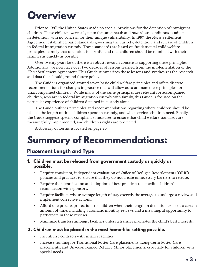# **Overview**

Prior to 1997, the United States made no special provisions for the detention of immigrant children. These children were subject to the same harsh and hazardous conditions as adults in detention, with no concern for their unique vulnerability. In 1997, the *Flores* Settlement Agreement established basic standards governing the custody, detention, and release of children in federal immigration custody. These standards are based on fundamental child welfare principles, namely that detention is harmful and that children should be reunified with their families as quickly as possible.

Over twenty years later, there is a robust research consensus supporting these principles. Additionally, we now have over two decades of lessons learned from the implementation of the *Flores* Settlement Agreement. This Guide summarizes those lessons and synthesizes the research and data that should ground future policy.

The Guide is organized around seven basic child welfare principles and offers discrete recommendations for changes in practice that will allow us to animate these principles for unaccompanied children. While many of the same principles are relevant for accompanied children, who are in federal immigration custody with family, this Guide is focused on the particular experience of children detained in custody alone.

The Guide outlines principles and recommendations regarding where children should be placed, the length of time children spend in custody, and what services children need. Finally, the Guide suggests specific compliance measures to ensure that child welfare standards are meaningfully implemented, and children's rights are protected.

A Glossary of Terms is located on page 26.

# **Summary of Recommendations:**

## **Placement Length and Type**

### **1. Children must be released from government custody as quickly as possible.**

- Require consistent, independent evaluation of Office of Refugee Resettlement ("ORR") policies and practices to ensure that they do not create unnecessary barriers to release.
- Require the identification and adoption of best practices to expedite children's reunification with sponsors.
- Require facilities whose average length of stay exceeds the average to undergo a review and implement corrective actions.
- Afford due process protections to children when their length in detention exceeds a certain amount of time, including automatic monthly reviews and a meaningful opportunity to participate in these reviews.
- Minimize transfers amongst facilities unless a transfer promotes the child's best interests.

### **2. Children must be placed in the most home-like setting possible.**

- Incentivize contracts with smaller facilities.
- Increase funding for Transitional Foster Care placements, Long-Term Foster Care placements, and Unaccompanied Refugee Minor placements, especially for children with special needs.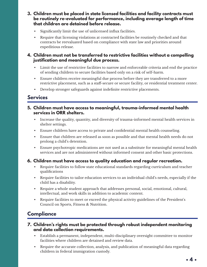- **3. Children must be placed in state licensed facilities and facility contracts must be routinely re-evaluated for performance, including average length of time that children are detained before release.**
	- Significantly limit the use of unlicensed influx facilities.
	- Require that licensing violations at contracted facilities be routinely checked and that contracts be reevaluated based on compliance with state law and priorities around expeditious release.

### **4. Children must not be transferred to restrictive facilities without a compelling justification and meaningful due process.**

- Limit the use of restrictive facilities to narrow and enforceable criteria and end the practice of sending children to secure facilities based only on a risk of self-harm.
- Ensure children receive meaningful due process before they are transferred to a more restrictive placement, such as a staff-secure or secure facility, or residential treatment center.
- Develop stronger safeguards against indefinite restrictive placements.

## **Services**

- **5. Children must have access to meaningful, trauma-informed mental health services in ORR shelters.**
	- Increase the quality, quantity, and diversity of trauma-informed mental health services in shelter settings.
	- Ensure children have access to private and confidential mental health counseling.
	- Ensure that children are released as soon as possible and that mental health needs do not prolong a child's detention.
	- Ensure psychotropic medications are not used as a substitute for meaningful mental health services and are not administered without informed consent and other basic protections.

### **6. Children must have access to quality education and regular recreation.**

- Require facilities to follow state educational standards regarding curriculum and teacher qualifications
- Require facilities to tailor education services to an individual child's needs, especially if the child has a disability.
- Require a whole student approach that addresses personal, social, emotional, cultural, intellectual, and work skills in addition to academic content.
- Require facilities to meet or exceed the physical activity guidelines of the President's Council on Sports, Fitness & Nutrition.

# **Compliance**

### **7. Children's rights must be protected through robust independent monitoring and data collection requirements.**

- Establish a permanent, independent, multi-disciplinary oversight committee to monitor facilities where children are detained and review data.
- Require the accurate collection, analysis, and publication of meaningful data regarding children in federal immigration custody.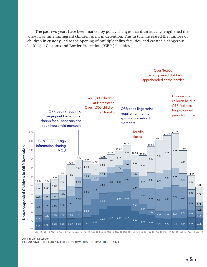The past two years have been marked by policy changes that dramatically lengthened the amount of time immigrant children spent in detention. This in turn increased the number of children in custody, led to the opening of multiple influx facilities, and created a dangerous backlog at Customs and Border Protection ("CBP") facilities.



Days in ORR Detention  $\Box$  1-20 days  $\Box$  21-30 days  $\Box$  31-60 days  $\Box$  61-90 days  $\Box$  91+ days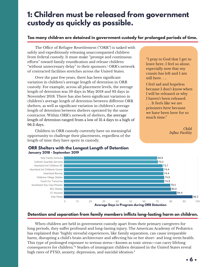# <span id="page-5-0"></span>**1: Children must be released from government custody as quickly as possible.**

### **Too many children are detained in government custody for prolonged periods of time.**

The Office of Refugee Resettlement ("ORR") is tasked with safely and expeditiously releasing unaccompanied children from federal custody. It must make "prompt and continuous efforts" toward family reunification and release children "without unnecessary delay" to their sponsors[.1](#page-28-0) ORR's network of contracted facilities stretches across the United States.

Over the past few years, there has been significant variation in children's average length of detention in ORR custody. For example, across all placement levels, the average length of detention was 59 days in May 2018 and 93 days in November 2018. There has also been significant variation in children's average length of detention between different ORR shelters, as well as significant variation in children's average and Longest lengths of stay during  $\frac{1}{2}$ . length of detention between shelters operated by the same contractor. Within ORR's network of shelters, the average **Example 20** length of detention ranged from a low of 31.4 days to a high of  $96.2$  days.

> Children in ORR custody currently have no meaningful opportunity to challenge their placements, regardless of the length of time they have spent in custody.  $\frac{\text{mno}}{\text{}}$

42.2 **ORR Shelters with the Longest Length of Detention** 

CHSI CASA NORMA LINE  $\frac{1}{\sqrt{2\pi}}$ 

#### "I pray to God that I get to leave here. I feel so alone, especially now that my cousin has left and I am still here. . ..

I feel sad and hopeless because I don't know when I will be released or why I haven't been released. . . . It feels like we are prisoners here because we have been here for so much time."

> *Child Influx Facility*



42.0

### **Detention and separation from family members inflicts long-lasting harm on children.**

When children are held in government custody apart from their primary caregivers for long periods, they suffer profound and long-lasting injury. The American Academy of Pediatrics has explained that "highly stressful experiences, like family separation, can cause irreparable harm, disrupting a child's brain architecture and affecting his or her short- and long-term health. This type of prolonged exposure to serious stress—known as toxic stress—can carry lifelong consequences for children.["2](#page-28-0) Studies of immigrant children detained in the United States reveal high rates of PTSD, anxiety, depression, and suicidal ideation.<sup>[3](#page-28-0)</sup>

# January 2018 - September 201<mark>9</mark>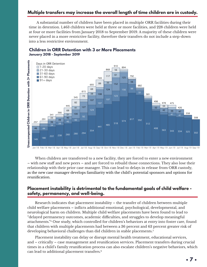### <span id="page-6-0"></span>**Multiple transfers may increase the overall length of time children are in custody.**

A substantial number of children have been placed in multiple ORR facilities during their time in detention. 1,463 children were held at three or more facilities, and 228 children were held at four or more facilities from January 2018 to September 2019. A majority of these children were never placed in a more restrictive facility, therefore their transfers do not include a step-down into a less restrictive environment.



### **Children in ORR Detention with 3 or More Placements January 2018 - September 2019**

When children are transferred to a new facility, they are forced to enter a new environment – with new staff and new peers – and are forced to rebuild those connections. They also lose their relationship with their prior case manager. This can lead to delays in release from ORR custody, as the new case manager develops familiarity with the child's potential sponsors and options for reunification.

### **Placement instability is detrimental to the fundamental goals of child welfare safety, permanency, and well-being.**

Research indicates that placement instability – the transfer of children between multiple child welfare placements – inflicts additional emotional, psychological, developmental, and neurological harm on children. Multiple child welfare placements have been found to lead to "delayed permanency outcomes, academic difficulties, and struggles to develop meaningful attachments.["4](#page-28-0) One study, which controlled for children's behaviors at entry into foster care, found that children with multiple placements had between a 36 percent and 63 percent greater risk of developing behavioral challenges than did children in stable placements[.5](#page-28-0)

Placement instability can delay or disrupt mental health treatment, educational services, and – critically – case management and reunification services. Placement transfers during crucial times in a child's family reunification process can also escalate children's negative behaviors, which can lead to additional placement transfers.[6](#page-28-0)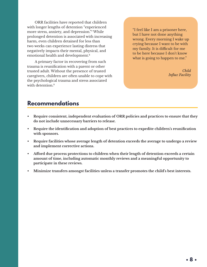<span id="page-7-0"></span>ORR facilities have reported that children with longer lengths of detention "experienced more stress, anxiety, and depression."[7](#page-28-0) While prolonged detention is associated with increasing harm, even children detained for less than two weeks can experience lasting distress that negatively impacts their mental, physical, and emotional health and development.[8](#page-28-0)

A primary factor in recovering from such trauma is reunification with a parent or other trusted adult. Without the presence of trusted caregivers, children are often unable to cope with the psychological trauma and stress associated with detention.<sup>[9](#page-28-0)</sup>

"I feel like I am a prisoner here, but I have not done anything wrong. Every morning I wake up crying because I want to be with my family. It is difficult for me to be here because I don't know what is going to happen to me."

> *Child Influx Facility*

## **Recommendations**

- **• Require consistent, independent evaluation of ORR policies and practices to ensure that they do not include unnecessary barriers to release.**
- **• Require the identification and adoption of best practices to expedite children's reunification with sponsors.**
- **• Require facilities whose average length of detention exceeds the average to undergo a review and implement corrective actions.**
- **• Afford due process protections to children when their length of detention exceeds a certain amount of time, including automatic monthly reviews and a meaningful opportunity to participate in these reviews.**
- **• Minimize transfers amongst facilities unless a transfer promotes the child's best interests.**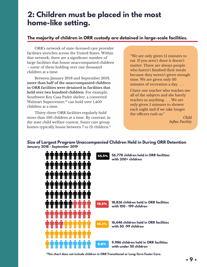# <span id="page-8-0"></span>**2: Children must be placed in the most home-like setting.**

### **The majority of children in ORR custody are detained in large-scale facilities.**

ORR's network of state-licensed care provider facilities stretches across the United States. Within that network, there are a significant number of large facilities that house unaccompanied children – some of them holding over one thousand children at a time.

Between January 2018 and September 2019, **more than half of the unaccompanied children in ORR facilities were detained in facilities that held over two hundred children**. For example, Southwest Key Casa Padre shelter, a converted Walmart Supercenter,<sup>10</sup> can hold over 1,400 children at a time.

Thirty-three ORR facilities regularly hold more than 100 children at a time. By contrast, in the state child welfare context, foster care group homes typically house between 7 to 12 children.<sup>[11](#page-28-0)</sup>

"We are only given 15 minutes to eat. If you aren't done it doesn't matter. There are always people who haven't finished their meals because they weren't given enough time. We are given only 30 minutes of recreation a day. . . .

I have one teacher who teaches me all of the subjects and she barely teaches us anything . . .. We are only given 5 minutes to shower each night and if we take longer the officers rush us."

*Child Influx Facility*

### **Size of Largest Program Unaccompanied Children Held in During ORR Detention January 2018 - September 2019**



**\*This chart does not include children in ORR Transitional or Long-Term Foster Care.**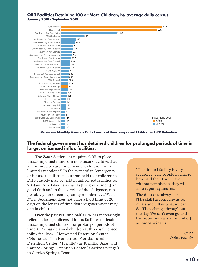#### <span id="page-9-0"></span>**ORR Facilities Detaining 100 or More Children, by average daily census January 2018 - September 2019**



0 200 400 600 800 1000 1200 1400 1600 1800 2000 2200 2400 2600 2800 **Maximum Monthly Average Daily Census of Unaccompanied Children in ORR Detention**

### **The federal government has detained children for prolonged periods of time in large, unlicensed influx facilities.**

The *Flores* Settlement requires ORR to place unaccompanied minors in non-secure facilities that are licensed to care for dependent children, with limited exceptions[.12](#page-28-0) In the event of an "emergency or influx," the district court has held that children in DHS custody may be held in unlicensed facilities for 20 days, "if 20 days is as fast as [the government], in good faith and in the exercise of due diligence, can possibly go in screening family members . . ..["13](#page-28-0) The *Flores* Settlement does not place a hard limit of 20 days on the length of time that the government may detain children.

Over the past year and half, ORR has increasingly relied on large, unlicensed influx facilities to detain unaccompanied children for prolonged periods of time. ORR has detained children at three unlicensed influx facilities – Homestead Detention Center ("Homestead") in Homestead, Florida, Tornillo Detention Center ("Tornillo") in Tornillo, Texas, and Carrizo Springs Detention Center ("Carrizo Springs") in Carrizo Springs, Texas.

"The [influx] facility is very secure. . . . The people in charge have said that if you leave without permission, they will file a report against us.

The doors are always locked. [The staff] accompany us for meals and tell us what we can do. They change throughout the day. We can't even go to the bathroom with a [staff member] accompanying us."

> *Child Influx Facility*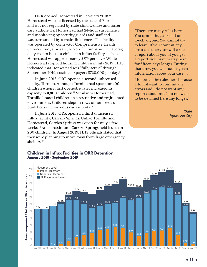<span id="page-10-0"></span>ORR opened Homestead in February 2018.[14](#page-28-0) Homestead was not licensed by the state of Florida and was not regulated by state child welfare and foster care authorities. Homestead had 24-hour surveillance and monitoring by security guards and staff and was surrounded by a chain-link fence. The facility was operated by contractor Comprehensive Health Services, Inc., a private, for-profit company. The average daily cost to house a child at an influx facility such as Homestead was approximately \$775 per day.[15](#page-28-0) While Homestead stopped housing children in July 2019, HHS indicated that Homestead was "fully active" through September 2019, costing taxpayers \$720,000 per day.[16](#page-28-0)

In June 2018, ORR opened a second unlicensed facility, Tornillo. Although Tornillo had space for 400 children when it first opened, it later increased its capacity to 3,800 children.<sup>[17](#page-29-0)</sup> Similar to Homestead, Tornillo housed children in a restrictive and regimented environment. Children slept in rows of hundreds of bunk beds in enormous canvas tents.[18](#page-29-0) 

In June 2019, ORR opened a third unlicensed influx facility, Carrizo Springs. Unlike Tornillo and Homestead, Carrizo Springs was open for only a few weeks[.19](#page-29-0) At its maximum, Carrizo Springs held less than 200 children. In August 2019, HHS officials stated that they were planning to move away from large emergency shelters.[20](#page-29-0)

"There are many rules here. You cannot hug a friend or touch anyone. You cannot try to leave. If you commit any errors, a supervisor will write a report about you. If you get a report, you have to stay here for fifteen days longer. During that time, you will not be given information about your case. . .

I follow all the rules here because I do not want to commit any errors and I do not want any reports about me. I do not want to be detained here any longer."

> *Child Influx Facility*



### **Children in Influx Facilties in ORR Detention January 2018 - September 2019**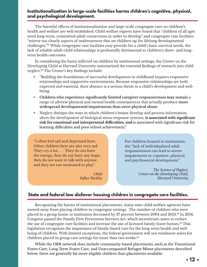### <span id="page-11-0"></span>**Institutionalization in large-scale facilities harms children's cognitive, physical, and psychological development.**

The harmful effects of institutionalization and large-scale congregate care on children's health and welfare are well established. Child welfare experts have found that "children of all ages need long-term, committed adult connections in order to develop" and congregate care facilities "mirror too closely aspects of maltreatment that set children up for lifelong developmental challenges."[21](#page-29-0) While congregate care facilities may provide for a child's basic survival needs, the lack of reliable adult-child relationships is profoundly detrimental to children's short- and longterm health outcomes.

In considering the harm inflicted on children by institutional settings, the Center on the Developing Child at Harvard University summarized the essential findings of research into child neglect[.22](#page-29-0) The Center's key findings include:

- "Building the foundations of successful development in childhood requires responsive relationships and supportive environments. Because responsive relationships are both expected and essential, their absence is a serious threat to a child's development and wellbeing.
- **• Children who experience significantly limited caregiver responsiveness may sustain** a range of adverse physical and mental health consequences that actually produce **more widespread developmental impairments than overt physical abuse.**
- Neglect disrupts the ways in which children's brains develop and process information, alters the development of biological stress-response systems, **is associated with significant risk for emotional and interpersonal difficulties, and** is associated with significant risk for learning difficulties and poor school achievement."

"I often feel sad and depressed here. . . Other children here are also very sad. They cry a lot. . . . They do not have the energy, they do not have any hope, they do not want to talk with anyone, and they are not motivated to play."

> *Child Influx Facility*

For children housed in institutions, the "lack of individualized adult responsiveness can lead to severe impairments in cognitive, physical, and psychosocial development."

> *The Science of Neglect, Center on the Developing Child, Harvard University*

### **State and federal law disfavor housing children in congregate care facilities.**

Recognizing the harms of institutional placements, many state child welfare agencies have moved away from placing children in congregate settings. The number of children who were placed in a group home or institution decreased by 37 percent between 2004 and 2013. [23](#page-29-0) In 2018, Congress passed the Family First Prevention Services Act, which incentivizes states to reduce the use of congregate care facilities and increase the use of licensed family foster homes[.24](#page-29-0) This legislation recognizes the importance of family-based care for the long-term health and wellbeing of children. With limited exceptions, the federal government will not reimburse states for children placed in group care settings for more than two weeks[.25](#page-29-0)

While the ORR network does include community-based placements, such as the Transitional Foster Care, Long Term Foster Care, and Unaccompanied Refugee Minor placements described below, there are generally far more eligible children than placements available.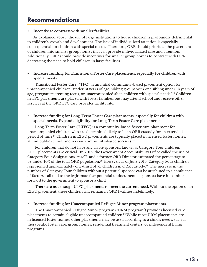# <span id="page-12-0"></span>**Recommendations**

#### **• Incentivize contracts with smaller facilities.**

As explained above, the use of large institutions to house children is profoundly detrimental to children's growth and development. The lack of individualized attention is especially consequential for children with special needs. Therefore, ORR should prioritize the placement of children into smaller group homes that can provide individualized care and attention. Additionally, ORR should provide incentives for smaller group homes to contract with ORR, decreasing the need to hold children in large facilities.

#### **• Increase funding for Transitional Foster Care placements, especially for children with special needs.**

Transitional Foster Care ("TFC") is an initial community-based placement option for unaccompanied children "under 13 years of age, sibling groups with one sibling under 13 years of age, pregnant/parenting teens, or unaccompanied alien children with special needs.["26](#page-29-0) Children in TFC placements are placed with foster families, but may attend school and receive other services at the ORR TFC care provider facility site.

#### **• Increase funding for Long-Term Foster Care placements, especially for children with special needs. Expand eligibility for Long-Term Foster Care placements.**

Long-Term Foster Care ("LTFC") is a community-based foster care placement for unaccompanied children who are determined likely to be in ORR custody for an extended period of time.[27](#page-29-0) Children in LTFC placements are typically placed in licensed foster homes, attend public school, and receive community-based services.<sup>28</sup>

For children that do not have any viable sponsors, known as Category Four children, LTFC placements are critical. In 2016, the Government Accountability Office called the use of Category Four designations "rare"[29](#page-29-0) and a former ORR Director estimated the percentage to be under 10% of the total ORR population.<sup>30</sup> However, as of June 2019, Category Four children represented approximately one-third of all children in ORR custody.<sup>31</sup> The increase in the number of Category Four children without a potential sponsor can be attributed to a confluence of factors - all tied to the legitimate fear potential undocumented sponsors have in coming forward to the government to sponsor a child.

There are not enough LTFC placements to meet the current need. Without the option of an LTFC placement, these children will remain in ORR facilities indefinitely.

#### **• Increase funding for Unaccompanied Refugee Minor program placements.**

The Unaccompanied Refugee Minor program ("URM program") provides licensed care placements to certain eligible unaccompanied children.<sup>32</sup> While most URM placements are in licensed foster homes, other placements may be used according to a child's needs, such as therapeutic foster care, group homes, residential treatment centers, or independent living programs.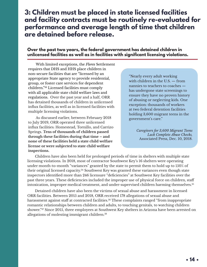# <span id="page-13-0"></span>**3: Children must be placed in state licensed facilities and facility contracts must be routinely re-evaluated for performance and average length of time that children are detained before release.**

### **Over the past two years, the federal government has detained children in unlicensed facilities as well as in facilities with significant licensing violations.**

With limited exceptions, the *Flores* Settlement requires that DHS and HHS place children in non-secure facilities that are "licensed by an appropriate State agency to provide residential, group, or foster care services for dependent children.["33](#page-29-0) Licensed facilities must comply with all applicable state child welfare laws and regulations. Over the past year and a half, ORR has detained thousands of children in unlicensed influx facilities, as well as in licensed facilities with multiple licensing violations.

As discussed earlier, between February 2018 to July 2019, ORR operated three unlicensed influx facilities: Homestead, Tornillo, and Carrizo Springs. **Tens of thousands of children passed through these facilities during that time – and none of these facilities held a state child welfare license or were subjected to state child welfare inspections.** 

"Nearly every adult working with children in the U.S. — from nannies to teachers to coaches has undergone state screenings to ensure they have no proven history of abusing or neglecting kids. One exception: thousands of workers at two federal detention facilities holding 3,600 migrant teens in the government's care."

> *Caregivers for 3,600 Migrant Teens Lack Complete Abuse Checks,* Associated Press, Dec. 10, 2018.

Children have also been held for prolonged periods of time in shelters with multiple state licensing violations. In 2018, most of contractor Southwest Key's 16 shelters were operating under month-to-month "variances" granted by the state to permit them to hold up to 150% of their original licensed capacity.<sup>34</sup> Southwest Key was granted these variances even though state inspectors identified more than 246 licensure "deficiencies" at Southwest Key facilities over the past three years. These deficiencies included the improper use of physical force on children, staff intoxication, improper medical treatment, and under-supervised children harming themselves.<sup>35</sup>

Detained children have also been the victims of sexual abuse and harassment in licensed ORR facilities. Between 2015 and 2018, ORR received 178 allegations of sexual abuse and harassment against staff at contracted facilities.<sup>36</sup> These complaints ranged "from inappropriate romantic relationships between children and adults, to touching genitals, to watching children shower.["37](#page-30-0) Since 2015, three employees at Southwest Key shelters in Arizona have been arrested on allegations of molesting immigrant children.<sup>38</sup>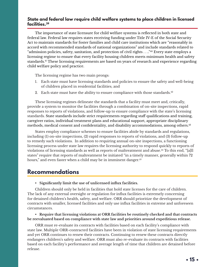### <span id="page-14-0"></span>**State and federal law require child welfare systems to place children in licensed facilities.[39](#page-30-0)**

The importance of state licensure for child welfare systems is reflected in both state and federal law. Federal law requires states receiving funding under Title IV-E of the Social Security Act to maintain standards for foster families and child care institutions which are "reasonably in accord with recommended standards of national organizations" and include standards related to "admission policies, safety, sanitation, and protection of civil rights . . ..["40](#page-30-0) Every state employs a licensing regime to ensure that every facility housing children meets minimum health and safety standards.[41](#page-30-0) These licensing requirements are based on years of research and experience regarding child welfare policy and practice.

The licensing regime has two main prongs:

- 1. Each state must have licensing standards and policies to ensure the safety and well-being of children placed in residential facilities; and
- 2. Each state must have the ability to ensure compliance with those standards.<sup>42</sup>

These licensing regimes delineate the standards that a facility must meet and, critically, provide a system to monitor the facilities through a combination of on-site inspections, rapid responses to reports of violations, and follow-up to ensure compliance with the state's licensing standards. State standards include strict requirements regarding staff qualifications and training, caregiver ratios, individual treatment plans and educational support, appropriate disciplinary methods, medical consent and confidentiality, and disability accommodations, among others.<sup>[43](#page-30-0)</sup>

States employ compliance schemes to ensure facilities abide by standards and regulations, including (1) on-site inspections, (2) rapid responses to reports of violations, and (3) follow-up to remedy such violations. In addition to requiring annual on-site inspections, a functioning licensing process under state law requires the licensing authority to respond quickly to reports of violations of licensing standards as well as reports of maltreatment and abuse.[44](#page-30-0) To this end, "[a]ll states" require that reports of maltreatment be initiated "in a timely manner, generally within 72 hours," and even faster when a child may be in imminent danger.<sup>45</sup>

## **Recommendations**

• **Significantly limit the use of unlicensed influx facilities.**

Children should only be held in facilities that hold state licenses for the care of children. The lack of any external oversight or regulation for influx facilities is extremely concerning for detained children's health, safety, and welfare. ORR should prioritize the development of contracts with smaller, licensed facilities and only use influx facilities in extreme and unforeseen circumstances.

• **Require that licensing violations at ORR facilities be routinely checked and that contracts be reevaluated based on compliance with state law and priorities around expeditious release.**

ORR must re-evaluate its contracts with facilities based on each facility's compliance with state law. Multiple ORR-contracted facilities have been in violation of state licensing requirements and yet ORR continues to renew their contracts. Continuing to renew these contracts directly endangers children's safety and welfare. ORR must also re-evaluate its contracts with facilities based on each facility's performance and average length of time that children are detained before release.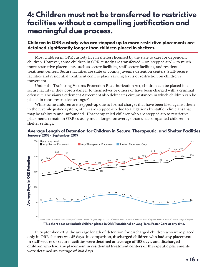# <span id="page-15-0"></span>**4: Children must not be transferred to restrictive facilities without a compelling justification and meaningful due process.**

### **Children in ORR custody who are stepped up to more restrictive placements are detained significantly longer than children placed in shelters.**

Most children in ORR custody live in shelters licensed by the state to care for dependent children. However, some children in ORR custody are transferred – or "stepped-up" – to much more restrictive placements, such as secure facilities, staff-secure facilities, and residential treatment centers. Secure facilities are state or county juvenile detention centers. Staff-secure facilities and residential treatment centers place varying levels of restriction on children's movement.

Under the Trafficking Victims Protection Reauthorization Act, children can be placed in a secure facility if they pose a danger to themselves or others or have been charged with a criminal offense[.46](#page-30-0) The *Flores* Settlement Agreement also delineates circumstances in which children can be placed in more restrictive settings[.47](#page-30-0)

While some children are stepped-up due to formal charges that have been filed against them in the juvenile justice system, others are stepped-up due to allegations by staff or clinicians that may be arbitrary and unfounded. Unaccompanied children who are stepped-up to restrictive placements remain in ORR custody much longer on average than unaccompanied children in shelter settings.

#### **Average Length of Detention for Children in Secure, Therapeutic, and Shelter Facilities January 2018 - September 2019**



**\*This chart does not include children placed in ORR Transitional or Long-Term Foster Care at any time.**

In September 2019, the average length of detention for discharged children who were placed only in ORR shelters was 52 days. In comparison, **discharged children who had any placement in staff-secure or secure facilities were detained an average of 198 days, and discharged children who had any placement in residential treatment centers or therapeutic placements were detained an average of 243 days.**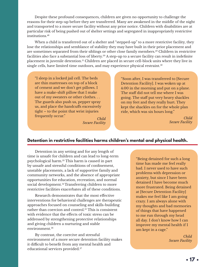<span id="page-16-0"></span>Despite these profound consequences, children are given no opportunity to challenge the reasons for their step-up before they are transferred. Many are awakened in the middle of the night and transported to a more secure facility without any prior notice. Children with disabilities are at particular risk of being pushed out of shelter settings and segregated in inappropriately restrictive institutions[.48](#page-30-0)

When a child is transferred out of a shelter and "stepped-up" to a more restrictive facility, they lose the relationships and semblance of stability they may have built in their prior placement and are sometimes separated from their siblings or other close family members.<sup>49</sup> Children in restrictive facilities also face a substantial loss of liberty.<sup>50</sup> A step-up to a secure facility can result in indefinite placement in juvenile detention[.51](#page-30-0) Children are placed in secure cell-block units where they live in single cells, have limited time outdoors, and may experience physical restraint.<sup>[52](#page-30-0)</sup>

"I sleep in a locked jail cell. The beds are thin mattresses on top of a block of cement and we don't get pillows. I have a make-shift pillow that I make out of my sweaters or other clothes. . . The guards also push us, pepper spray us, and place the handcuffs excessively tight – to the point that wrist injuries frequently occur."

*Child Secure Facility*

"Soon after, I was transferred to [Secure Detention Facility]. I was woken up at 4:00 in the morning and put on a plane. The staff did not tell me where I was going. The staff put very heavy shackles on my feet and they really hurt. They kept the shackles on for the whole plan ride, which was six hours long."

> *Child Secure Facility*

### **Detention in restrictive facilities harms children's mental and physical health.**

Detention in any setting and for any length of time is unsafe for children and can lead to long-term psychological harm.[53](#page-30-0) This harm is caused in part by unsafe and stressful conditions of confinement, unstable placements, a lack of supportive family and community networks, and the absence of appropriate opportunities for education, recreation, and normal social development.<sup>[54](#page-30-0)</sup> Transferring children to more restrictive facilities exacerbates all of these conditions.

Research demonstrates that the most effective interventions for behavioral challenges are therapeutic approaches focused on counseling and skills-building rather than coercion and control.<sup>55</sup> This is consistent with evidence that the effects of toxic stress can be addressed by strengthening protective relationships and giving children a nurturing and stable environment.<sup>[56](#page-30-0)</sup>

By contrast, the coercive and stressful environment of a more secure detention facility makes it difficult to benefit from any mental health and educational services provided.<sup>[57](#page-30-0)</sup>

"Being detained for such a long time has made me feel really bad. I never used to have such problems with depression or anxiety, but since I have been detained I have become much more frustrated. Being detained at [Secure Detention Facility] makes me feel like I am going crazy. I am always alone with my thoughts and bad memories of things that have happened to me run through my head all day. I don't know how I can improve my mental health if I am kept in a cage."

> *Child Secure Facility*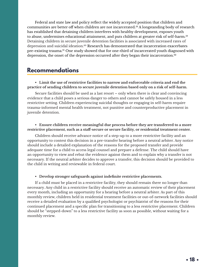<span id="page-17-0"></span>Federal and state law and policy reflect the widely accepted position that children and communities are better off when children are not incarcerated[.58](#page-31-0) A longstanding body of research has established that detaining children interferes with healthy development, exposes youth to abuse, undermines educational attainment, and puts children at greater risk of self-harm.<sup>[59](#page-31-0)</sup> Detaining children in secure juvenile detention facilities is associated with increased rates of depression and suicidal ideation.<sup>60</sup> Research has demonstrated that incarceration exacerbates pre-existing trauma.<sup>[61](#page-31-0)</sup> One study showed that for one-third of incarcerated youth diagnosed with depression, the onset of the depression occurred after they began their incarceration.<sup>62</sup>

## **Recommendations**

#### **• Limit the use of restrictive facilities to narrow and enforceable criteria and end the practice of sending children to secure juvenile detention based only on a risk of self-harm.**

Secure facilities should be used as a last resort – only when there is clear and convincing evidence that a child poses a serious danger to others and cannot be safely housed in a less restrictive setting. Children experiencing suicidal thoughts or engaging in self-harm require trauma-informed mental health treatment, not punitive and counterproductive placement in juvenile detention.

#### **• Ensure children receive meaningful due process before they are transferred to a more restrictive placement, such as a staff-secure or secure facility, or residential treatment center.**

Children should receive advance notice of a step-up to a more restrictive facility and an opportunity to contest this decision in a pre-transfer hearing before a neutral arbiter. Any notice should include a detailed explanation of the reasons for the proposed transfer and provide adequate time for a child to access legal counsel and prepare a defense. The child should have an opportunity to view and rebut the evidence against them and to explain why a transfer is not necessary. If the neutral arbiter decides to approve a transfer, this decision should be provided to the child in writing and reviewable in federal court.

#### **• Develop stronger safeguards against indefinite restrictive placements.**

If a child must be placed in a restrictive facility, they should remain there no longer than necessary. Any child in a restrictive facility should receive an automatic review of their placement every month, including an opportunity for a hearing before a neutral arbiter. As part of this monthly review, children held in residential treatment facilities or out-of-network facilities should receive a detailed evaluation by a qualified psychologist or psychiatrist of the reasons for their continued placement and a specific plan for transitioning to a less restrictive placement. Children should be "stepped-down" to a less restrictive facility as soon as possible, without waiting for a monthly review.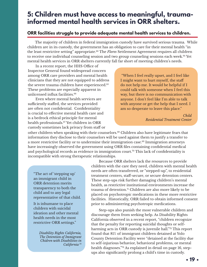# <span id="page-18-0"></span>**5: Children must have access to meaningful, traumainformed mental health services in ORR shelters.**

### **ORR facilities struggle to provide adequate mental health services to children.**

The majority of children in federal immigration custody have survived serious trauma. While children are in its custody, the government has an obligation to care for their mental health "in the least restrictive setting" appropriate[.63](#page-31-0) The *Flores* Settlement Agreement requires all children to receive one individual counseling session and two group counseling sessions each week.<sup>64</sup> Yet mental health services in ORR shelters currently fall far short of meeting children's needs.

In a recent report, the HHS Office of Inspector General found widespread concern among ORR care providers and mental health clinicians that they are not equipped to address the severe trauma children have experienced.[65](#page-31-0) These problems are especially apparent in unlicensed influx facilities.<sup>66</sup>

Even where mental health services are sufficiently staffed, the services provided are often not confidential. Confidentiality is crucial to effective mental health care and is a bedrock ethical principle for mental health professionals.[67](#page-31-0) Yet children in ORR custody sometimes lack privacy from staff or

 "When I feel really upset, and I feel like I might want to hurt myself, the staff do not help me. It would be helpful if I could talk with someone when I feel this way, but there is no communication with anyone. I don't feel like I'm able to talk with anyone or get the help that I need. I am so desperate to leave this place."

> *Child Residential Treatment Center*

other children when speaking with their counselors.[68](#page-31-0) Children also have legitimate fears that information they disclose to their counselors will be used against them to justify a transfer to a more restrictive facility or to undermine their immigration case.[69](#page-31-0) Immigration attorneys have increasingly observed the government using ORR files containing confidential medical and psychological records as evidence in immigration court.<sup>70</sup> This lack of confidentiality is incompatible with strong therapeutic relationships.

"The act of 'stepping up' an immigrant child in ORR detention merits transparency to both the child and to any legal representative of that child.

It is inhumane to place children with suicidal ideation and other mental health needs in the most restrictive ORR settings."

> *Disability Rights California, The Detention of Immigrant Chidren with Disabilities in California [74](#page-31-0)*

Because ORR shelters lack the resources to provide children with the care they need, children with mental health needs are often transferred, or "stepped-up", to residential treatment centers, staff-secure, or secure detention centers. These step-ups risk further damaging children's mental health, as restrictive institutional environments increase the trauma of detention.<sup>71</sup> Children are also more likely to be placed on psychotropic medications in these more restrictive facilities. Historically, ORR failed to obtain informed consent prior to administering psychotropic medications.

Step-ups also punish the most vulnerable children and discourage them from seeking help. As Disability Rights California observed in a recent report, "children recognize that the penalty for reporting suicidal thoughts or selfharming acts in ORR custody is juvenile hall."[72](#page-31-0) This report found that 81% of immigrant children detained at Yolo County Detention Facility were "detained at the facility due to self-injurious behavior, behavioral problems, or mental health diagnoses."[73](#page-31-0) As explained in detail on page 16, stepups also significantly prolong a child's time in custody.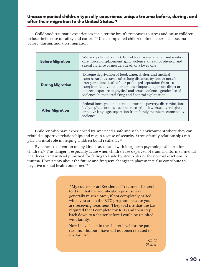### <span id="page-19-0"></span>**Unaccompanied children typically experience unique trauma before, during, and after their migration to the United States[.75](#page-31-0)**

Childhood traumatic experiences can alter the brain's responses to stress and cause children to lose their sense of safety and control.<sup>76</sup> Unaccompanied children often experience trauma before, during, and after migration.

| <b>Before Migration</b> | War and political conflict; lack of food, water, shelter, and medical<br>care; forced displacement; gang violence; threats of physical and<br>sexual violence or murder; death of a loved one                                                                                                                                                                                            |
|-------------------------|------------------------------------------------------------------------------------------------------------------------------------------------------------------------------------------------------------------------------------------------------------------------------------------------------------------------------------------------------------------------------------------|
| <b>During Migration</b> | Extreme deprivation of food, water, shelter, and medical<br>care; hazardous travel, often long distances by foot or unsafe<br>transportation; death of - or prolonged separation from - a<br>caregiver, family member, or other important person; direct or<br>indirect exposure to physical and sexual violence; gender-based<br>violence; human trafficking and financial exploitation |
| <b>After Migration</b>  | Federal immigration detention; extreme poverty; discrimination/<br>bullying/hate crimes based on race, ethnicity, sexuality, religion,<br>or native language; separation from family members; community<br>violence                                                                                                                                                                      |

Children who have experienced trauma need a safe and stable environment where they can rebuild supportive relationships and regain a sense of security. Strong family relationships can play a critical role in helping children build resiliency. $\pi$ 

By contrast, detention of any kind is associated with long-term psychological harm for children.[78](#page-31-0) This danger is especially acute when children are deprived of trauma-informed mental health care and instead punished for failing to abide by strict rules or for normal reactions to trauma. Uncertainty about the future and frequent changes in placements also contribute to negative mental health outcomes[.79](#page-31-0)

> "My counselor at [Residential Treatment Center] told me that the reunification process was generally much slower, if not completely halted, when you are in the RTC program because you are receiving treatment. They told me that the law required that I complete my RTC and then step back down to a shelter before I could be reunited with family.

Now I have been in the shelter level for the past two months, but I have still not been released to my family."

> *Child Shelter*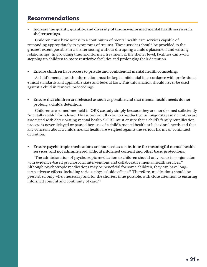# <span id="page-20-0"></span>**Recommendations**

#### **• Increase the quality, quantity, and diversity of trauma-informed mental health services in shelter settings.**

Children must have access to a continuum of mental health care services capable of responding appropriately to symptoms of trauma. These services should be provided to the greatest extent possible in a shelter setting without disrupting a child's placement and existing relationships. In providing trauma-informed treatment at the shelter level, facilities can avoid stepping up children to more restrictive facilities and prolonging their detention.

#### **• Ensure children have access to private and confidential mental health counseling.**

A child's mental health information must be kept confidential in accordance with professional ethical standards and applicable state and federal laws. This information should never be used against a child in removal proceedings.

#### **• Ensure that children are released as soon as possible and that mental health needs do not prolong a child's detention.**

Children are sometimes held in ORR custody simply because they are not deemed sufficiently "mentally stable" for release. This is profoundly counterproductive, as longer stays in detention are associated with deteriorating mental health.<sup>80</sup> ORR must ensure that a child's family reunification process is never delayed or paused because of a child's mental health or behavioral needs and that any concerns about a child's mental health are weighed against the serious harms of continued detention.

#### **• Ensure psychotropic medications are not used as a substitute for meaningful mental health services, and not administered without informed consent and other basic protections.**

The administration of psychotropic medication to children should only occur in conjunction with evidence-based psychosocial interventions and collaborative mental health services.<sup>[81](#page-32-0)</sup> Although psychotropic medications may be beneficial for some children, they can have longterm adverse effects, including serious physical side effects.<sup>82</sup> Therefore, medications should be prescribed only when necessary and for the shortest time possible, with close attention to ensuring informed consent and continuity of care.<sup>[83](#page-32-0)</sup>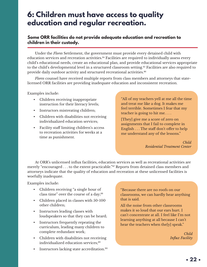# <span id="page-21-0"></span>**6: Children must have access to quality education and regular recreation.**

### **Some ORR facilities do not provide adequate education and recreation to children in their custody.**

Under the *Flores* Settlement, the government must provide every detained child with education services and recreation activities.<sup>84</sup> Facilities are required to individually assess every child's educational needs, create an educational plan, and provide educational services appropriate to the child's developmental level in a structured classroom setting.<sup>85</sup> Facilities are also required to provide daily outdoor activity and structured recreational activities.<sup>86</sup>

*Flores* counsel have received multiple reports from class members and attorneys that statelicensed ORR facilities are providing inadequate education and inconsistent recreation.

Examples include:

- Children receiving inappropriate instruction for their literacy levels;
- Instructors mistreating children;
- Children with disabilities not receiving individualized education services;
- Facility staff limiting children's access to recreation activities for weeks at a time as punishment.

"All of my teachers yell at me all the time and treat me like a dog. It makes me feel terrible. Sometimes I fear that my teacher is going to hit me. . . .

[They] give me a score of zero on assignments that I fail to complete in English . . . The staff don't offer to help me understand any of the lessons."

> *Child Residential Treatment Center*

At ORR's unlicensed influx facilities, education services as well as recreational activities are merely "encouraged . . . to the extent practicable."[87](#page-32-0) Reports from detained class members and attorneys indicate that the quality of education and recreation at these unlicensed facilities is woefully inadequate.

Examples include:

- Children receiving "a single hour of class time" over the course of a day;<sup>[88](#page-32-0)</sup>
- Children placed in classes with 50-100 other children;
- Instructors leading classes with loudspeakers so that they can be heard;
- Instructors frequently repeating the curriculum, leading many children to complete redundant work;
- Children with disabilities not receiving individualized education services;<sup>89</sup>
- Instructors lacking state accreditation.<sup>90</sup>

"Because there are no roofs on our classrooms, we can hardly hear anything that is said.

All the noise from other classrooms makes it so loud that our ears hurt. I can't concentrate at all. I feel like I'm not learning anything at all because I can't hear the teachers when the[y] speak."

> *Child Influx Facility*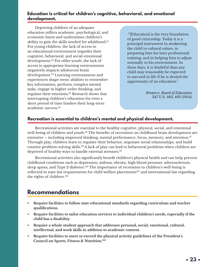### <span id="page-22-0"></span>**Education is critical for children's cognitive, behavioral, and emotional development.**

Depriving children of an adequate education inflicts academic, psychological, and economic harm and undermines children's ability to gain the skills needed for adulthood.[91](#page-32-0) For young children, the lack of access to an educational environment impedes their cognitive, behavioral, and social-emotional development.[92](#page-32-0) For older youth, the lack of access to appropriate learning environments negatively impacts adolescent brain development.[93](#page-32-0) Learning environments and experiences shape teens' abilities to remember key information, perform complex mental tasks, engage in higher order thinking, and regulate their emotions[.94](#page-32-0) Research shows that interrupting children's education for even a short period of time hinders their long-term academic success.[95](#page-32-0)

 "[Education] is the very foundation of good citizenship. Today it is a principal instrument in awakening the child to cultural values, in preparing him for later professional training, and in helping him to adjust normally to his environment. In these days, it is doubtful than any child may reasonably be expected to succeed in life if he is denied the opportunity of an education."

> *Brown v. Board of Education,* 347 U.S. 483, 493 (1954).

### **Recreation is essential to children's mental and physical development.**

Recreational activities are essential to the healthy cognitive, physical, social, and emotional well-being of children and youth.<sup>96</sup> The benefits of recreation on childhood brain development are extensive – including improved thinking, mental performance, focus, memory, and attention.<sup>97</sup> Through play, children learn to regulate their behavior, negotiate social relationships, and build creative problem-solving skills.[98](#page-32-0) A lack of play can lead to behavioral problems when children are deprived of healthy ways to handle external stressors.<sup>99</sup>

Recreational activities also significantly benefit children's physical health and can help prevent childhood conditions such as depression, asthma, obesity, high blood pressure, atherosclerosis, sleep apnea, and Type 2 diabetes.<sup>[100](#page-32-0)</sup> The importance of recreation to children's well-being is reflected in state law requirements for child welfare placements<sup>101</sup> and international law regarding the rights of children.[102](#page-33-0)

# **Recommendations**

- **• Require facilities to follow state educational standards regarding curriculum and teacher qualifications.**
- **• Require facilities to tailor education services to individual children's needs, especially if the child has a disability.**
- **• Require a whole student approach that addresses personal, social, emotional, cultural, intellectual, and work skills in addition to academic content.**
- **• Require facilities to meet or exceed the physical activity guidelines of the President's Council on Sports, Fitness & Nutrition.[103](#page-33-0)**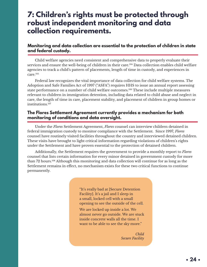# <span id="page-23-0"></span>**7: Children's rights must be protected through robust independent monitoring and data collection requirements.**

### **Monitoring and data collection are essential to the protection of children in state and federal custody.**

Child welfare agencies need consistent and comprehensive data to properly evaluate their services and ensure the well-being of children in their care.<sup>104</sup> Data collection enables child welfare agencies to track a child's pattern of placements, length of time in custody, and experiences in care.[105](#page-33-0)

Federal law recognizes the vital importance of data collection for child welfare systems. The Adoption and Safe Families Act of 1997 ("ASFA") requires HHS to issue an annual report assessing state performance on a number of child welfare outcomes.<sup>106</sup> These include multiple measures relevant to children in immigration detention, including data related to child abuse and neglect in care, the length of time in care, placement stability, and placement of children in group homes or institutions[.107](#page-33-0)

### **The Flores Settlement Agreement currently provides a mechanism for both monitoring of conditions and data oversight.**

Under the *Flores* Settlement Agreement, *Flores* counsel can interview children detained in federal immigration custody to monitor compliance with the Settlement. Since 1997, *Flores*  counsel have routinely visited facilities throughout the country and interviewed detained children. These visits have brought to light critical information regarding violations of children's rights under the Settlement and have proven essential to the protection of detained children.

Additionally, the Settlement requires the government to provide a monthly report to *Flores*  counsel that lists certain information for every minor detained in government custody for more than 72 hours[.108](#page-33-0) Although this monitoring and data collection will continue for as long as the Settlement remains in effect, no mechanism exists for these two critical functions to continue permanently.

> "It's really bad at [Secure Detention Facility]. It's a jail and I sleep in a small, locked cell with a small opening to see the outside of the cell.

We are locked up inside a lot. We almost never go outside. We are stuck inside concrete walls all the time. I want to be able to see the sky more."

> *Child Secure Facility*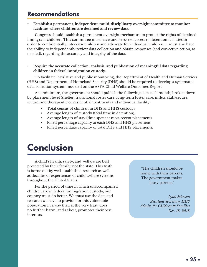## **Recommendations**

**• Establish a permanent, independent, multi-disciplinary oversight committee to monitor facilities where children are detained and review data.**

Congress should establish a permanent oversight mechanism to protect the rights of detained immigrant children. This committee must have unobstructed access to detention facilities in order to confidentially interview children and advocate for individual children. It must also have the ability to independently review data collection and obtain responses (and corrective action, as needed), regarding the accuracy and integrity of the data.

#### **• Require the accurate collection, analysis, and publication of meaningful data regarding children in federal immigration custody.**

To facilitate legislative and public monitoring, the Department of Health and Human Services (HHS) and Department of Homeland Security (DHS) should be required to develop a systematic data collection system modeled on the ASFA Child Welfare Outcomes Report.

At a minimum, the government should publish the following data each month, broken down by placement level (shelter, transitional foster care, long-term foster care, influx, staff-secure, secure, and therapeutic or residential treatment) and individual facility:

- Total census of children in DHS and HHS custody;
- Average length of custody (total time in detention);
- Average length of stay (time spent at most recent placement);
- Filled percentage capacity at each DHS and HHS placement;
- Filled percentage capacity of total DHS and HHS placements.

# **Conclusion**

A child's health, safety, and welfare are best protected by their family, not the state. This truth is borne out by well-established research as well as decades of experiences of child welfare systems throughout the United States.

For the period of time in which unaccompanied children are in federal immigration custody, our country must do better. We must use the data and research we have to provide for this vulnerable population in a way that, at the very least, does no further harm, and at best, promotes their best interests.

"The children should be home with their parents. The government makes lousy parents."

*Lynn Johnson Assistant Secretary, HHS Admin. for Children & Families Dec. 18, 2018*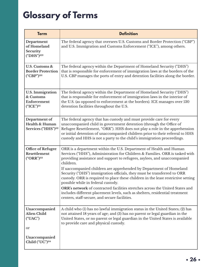# <span id="page-25-0"></span>**Glossary of Terms**

| <b>Term</b>                                                                                          | <b>Definition</b>                                                                                                                                                                                                                                                                                                                                                                                                                                                                                                                                                                                                                                                                                                                         |
|------------------------------------------------------------------------------------------------------|-------------------------------------------------------------------------------------------------------------------------------------------------------------------------------------------------------------------------------------------------------------------------------------------------------------------------------------------------------------------------------------------------------------------------------------------------------------------------------------------------------------------------------------------------------------------------------------------------------------------------------------------------------------------------------------------------------------------------------------------|
| Department<br>of Homeland<br>Security<br>("DHS") <sup>109</sup>                                      | The federal agency that oversees U.S. Customs and Border Protection ("CBP")<br>and U.S. Immigration and Customs Enforcement ("ICE"), among others.                                                                                                                                                                                                                                                                                                                                                                                                                                                                                                                                                                                        |
| U.S. Customs &<br><b>Border Protection</b><br>("CBP") <sup>110</sup>                                 | The federal agency within the Department of Homeland Security ("DHS")<br>that is responsible for enforcement of immigration laws at the borders of the<br>U.S. CBP manages the ports of entry and detention facilities along the border.                                                                                                                                                                                                                                                                                                                                                                                                                                                                                                  |
| <b>U.S. Immigration</b><br>& Customs<br>Enforcement<br>$("ICE")$ <sup>III</sup>                      | The federal agency within the Department of Homeland Security ("DHS")<br>that is responsible for enforcement of immigration laws in the interior of<br>the U.S. (as opposed to enforcement at the borders). ICE manages over 130<br>detention facilities throughout the U.S.                                                                                                                                                                                                                                                                                                                                                                                                                                                              |
| Department of<br>Health & Human<br>Services ("HHS") <sup>112</sup>                                   | The federal agency that has custody and must provide care for every<br>unaccompanied child in government detention (through the Office of<br>Refugee Resettlement, "ORR"). HHS does not play a role in the apprehension<br>or initial detention of unaccompanied children prior to their referral to HHS<br>custody and HHS is not a party to the child's immigration proceedings.                                                                                                                                                                                                                                                                                                                                                        |
| <b>Office of Refugee</b><br>Resettlement<br>$("ORR")^{113}$                                          | ORR is a department within the U.S. Department of Health and Human<br>Services ("HHS"), Administration for Children & Families. ORR is tasked with<br>providing assistance and support to refugees, asylees, and unaccompanied<br>children.<br>If uaccompanied children are apprehended by Department of Homeland<br>Security ("DHS") immigration officials, they must be transferred to ORR<br>custody. ORR is required to place these children in the least restrictive setting<br>possible while in federal custody.<br>ORR's network of contracted facilities stretches across the United States and<br>includes different placement levels, such as shelters, residential treatment<br>centers, staff-secure, and secure facilities. |
| Unaccompanied<br><b>Alien Child</b><br>("UAC")<br>or<br>Unaccompanied<br>Child ("UC") <sup>114</sup> | A child who (1) has no lawful immigration status in the United States; (2) has<br>not attained 18 years of age; and (3) has no parent or legal guardian in the<br>United States, or no parent or legal guardian in the United States is available<br>to provide care and physical custody.                                                                                                                                                                                                                                                                                                                                                                                                                                                |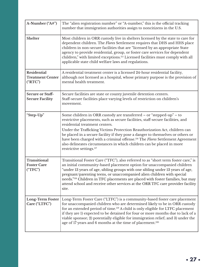<span id="page-26-0"></span>

| A-Number ("A#")                                          | The "alien registration number" or "A-number," this is the official tracking<br>number that immigration authorities assign to noncitizens in the U.S.                                                                                                                                                                                                                                                                                                                                                                                                                   |
|----------------------------------------------------------|-------------------------------------------------------------------------------------------------------------------------------------------------------------------------------------------------------------------------------------------------------------------------------------------------------------------------------------------------------------------------------------------------------------------------------------------------------------------------------------------------------------------------------------------------------------------------|
| <b>Shelter</b>                                           | Most children in ORR custody live in shelters licensed by the state to care for<br>dependent children. The Flores Settlement requires that DHS and HHS place<br>children in non-secure facilities that are "licensed by an appropriate State<br>agency to provide residential, group, or foster care services for dependent<br>children," with limited exceptions. <sup>115</sup> Licensed facilities must comply with all<br>applicable state child welfare laws and regulations.                                                                                      |
| <b>Residential</b><br><b>Treatment Center</b><br>("RTC") | A residential treatment center is a licensed 24-hour residential facility,<br>although not licensed as a hospital, whose primary purpose is the provision of<br>mental health treatment.                                                                                                                                                                                                                                                                                                                                                                                |
| <b>Secure or Staff-</b><br><b>Secure Facility</b>        | Secure facilities are state or county juvenile detention centers.<br>Staff-secure facilities place varying levels of restriction on children's<br>movement.                                                                                                                                                                                                                                                                                                                                                                                                             |
| "Step-Up"                                                | Some children in ORR custody are transferred – or "stepped-up" – to<br>restrictive placements, such as secure facilities, staff-secure facilities, and<br>residential treatment centers.<br>Under the Trafficking Victims Protection Reauthorization Act, children can<br>be placed in a secure facility if they pose a danger to themselves or others or<br>have been charged with a criminal offense. <sup>116</sup> The Flores Settlement Agreement<br>also delineates circumstances in which children can be placed in more<br>restrictive settings. <sup>117</sup> |
| Transitional<br><b>Foster Care</b><br>("TFC")            | Transitional Foster Care ("TFC"), also referred to as "short term foster care," is<br>an initial community-based placement option for unaccompanied children<br>"under 13 years of age, sibling groups with one sibling under 13 years of age,<br>pregnant/parenting teens, or unaccompanied alien children with special<br>needs." <sup>118</sup> Children in TFC placements are placed with foster families, but may<br>attend school and receive other services at the ORR TFC care provider facility<br>site.                                                       |
| <b>Long-Term Foster</b><br>Care ("LTFC")                 | Long-Term Foster Care ("LTFC") is a community-based foster care placement<br>for unaccompanied children who are determined likely to be in ORR custody<br>for an extended period of time. <sup>119</sup> A child is only eligible for LTFC placement<br>if they are 1) expected to be detained for four or more months due to lack of a<br>viable sponsor; 2) potentially eligible for immigration relief; and 3) under the<br>age of 17 years and 6 months at the time of placement. <sup>120</sup>                                                                    |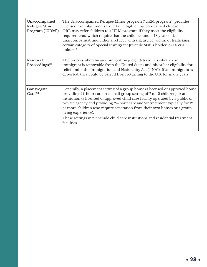<span id="page-27-0"></span>

| Unaccompaned<br><b>Refugee Minor</b><br>Program ("URM") | The Unaccompanied Refugee Minor program ("URM program") provides<br>licensed care placements to certain eligible unaccompanied children.<br>ORR may refer children to a URM program if they meet the eligibility<br>requirements, which require that the child be: under 18 years old,<br>unaccompanied, and either a refugee, entrant, asylee, victim of trafficking,<br>certain category of Special Immigrant Juvenile Status holder, or U-Visa<br>holder. <sup>121</sup>                                                  |
|---------------------------------------------------------|------------------------------------------------------------------------------------------------------------------------------------------------------------------------------------------------------------------------------------------------------------------------------------------------------------------------------------------------------------------------------------------------------------------------------------------------------------------------------------------------------------------------------|
| Removal<br>Proceedings <sup>122</sup>                   | The process whereby an immigration judge determines whether an<br>immigrant is removable from the United States and his or her eligibility for<br>relief under the Immigration and Nationality Act ("INA"). If an immigrant is<br>deported, they could be barred from returning to the U.S. for many years.                                                                                                                                                                                                                  |
| Congregate<br>Care <sup>123</sup>                       | Generally, a placement setting of a group home (a licensed or approved home<br>providing 24-hour care in a small group setting of 7 to 12 children) or an<br>institution (a licensed or approved child care facility operated by a public or<br>private agency and providing 24-hour care and/or treatment typically for 12<br>or more children who require separation from their own homes or a group<br>living experience).<br>These settings may include child care institutions and residential treatment<br>facilities. |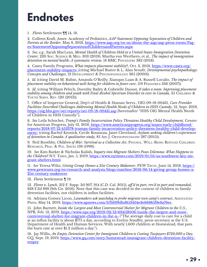# <span id="page-28-0"></span>**Endnotes**

[1](#page-5-0)*. Flores* Settlement ¶¶ 14, 18.

[2](#page-5-0). Colleen Kraft, Amer. Academy of Pediatrics, *AAP Statement Opposing Separation of Children and Parents at the Border*, May 8, 2018, [https://www.aap.org/en-us/about-the-aap/aap-press-room/Pag](https://www.aap.org/en-us/about-the-aap/aap-press-room/Pages/StatementOpposingSeparationofChildrenan)[es/StatementOpposingSeparationofChildrenandParents.aspx.](https://www.aap.org/en-us/about-the-aap/aap-press-room/Pages/StatementOpposingSeparationofChildrenan)

[3](#page-5-0)*. See, e.g.*, Sarah MacLean, *Mental Health of Children Held at a United States Immigration Detention Center*, 230 Soc. SCIENCE & MED. 303 (2019); Martha von Werthern, et al., *The impact of immigration detention on mental health: A systematic review*, 18 BMC Psychiatry 382 (2018).

[4.](#page-6-0) Casey Family Programs, *What impacts placement stability?*, Oct. 3, 2018, [https://www.casey.org/](https://www.casey.org/placement-stability-impacts/%20) [placement-stability-impacts/](https://www.casey.org/placement-stability-impacts/%20) (citing Michael Rutter & L. Alan Sroufe, *Developmental psychopathology: Concepts and Challenges*, 12 Development & Psychopathology 265 (2000)).

[5](#page-6-0)*. Id.* (citing David M. Rubin, Amanda O'Reilly, Xianqun Luan & A. Russell Localio, *The impact of placement stability on behavioral well-being for children in foster care*, 119 PEDIATRICS 336 (2007)).

[6](#page-6-0)*. Id*. (citing William Pelech, Dorothy Badry & Gabrielle Daoust, *It takes a team: Improving placement stability among children and youth with Fetal Alcohol Spectrum Disorder in care in Canada*, 35 CHILDREN & Youth Servs. Rev. 120 (2013)).

[7](#page-7-0). Office of Inspector General, Dep't of Health & Human Servs., OEI-09-18-00431, *Care Provider Facilities Described Challenges Addressing Mental Health Needs of Children in HHS Custody*, 12, Sept. 2019, <https://oig.hhs.gov/oei/reports/oei-09-18-00431.asp>[hereinafter "HHS OIG Mental Health Needs of Children in HHS Custody"].

[8](#page-7-0)*. See* Leila Schochet, *Trump's Family Incarceration Policy Threatens Healthy Child Development*, Center for American Progress, July 12, 2018, [https://www.americanprogress.org/issues/early-childhood/](https://www.americanprogress.org/issues/early-childhood/reports/2018/07/12/453378/trumps-family-incarceration-policy-threatens-healthy-child-development/) [reports/2018/07/12/453378/trumps-family-incarceration-policy-threatens-healthy-child-develop](https://www.americanprogress.org/issues/early-childhood/reports/2018/07/12/453378/trumps-family-incarceration-policy-threatens-healthy-child-development/)[ment/](https://www.americanprogress.org/issues/early-childhood/reports/2018/07/12/453378/trumps-family-incarceration-policy-threatens-healthy-child-development/) (citing Rachel Kronick, Cecile Rousseau, Janet Cleveland, *Asylum-seeking children's experiences of detention in Canada: A qualitative study*, 85 Am. J. Orthopsychiatry 287 (2015)).

[9](#page-7-0). Neil Boothby, *Children of War: Survival as a Collective Act*, Psychol. Well-Being Refugee Children: Research, Prac. & Pol. Issues 136 (1996).

[10](#page-8-0). *See* Kim Barker & Nicholas Kulish, *Inquiry into Migrant Shelters Poses Dilemma: What Happens to the Children?* N.Y. TIMES, Jan. 5, 2019, [https://www.nytimes.com/2019/01/05/us/southwest-key-mi](https://www.nytimes.com/2019/01/05/us/southwest-key-migrant-shelters.html)[grant-shelters.html](https://www.nytimes.com/2019/01/05/us/southwest-key-migrant-shelters.html).

[11.](#page-8-0) *See* Teresa Wiltz, *Giving Group Homes a 21st Century Makeover*, PEW Trust, June 14, 2018, [https://](https://www.pewtrusts.org/en/research-and-analysis/blogs/stateline/2018/06/14/giving-group-homes-a-21st-century-makeover) [www.pewtrusts.org/en/research-and-analysis/blogs/stateline/2018/06/14/giving-group-homes-a-](https://www.pewtrusts.org/en/research-and-analysis/blogs/stateline/2018/06/14/giving-group-homes-a-21st-century-makeover)[21st-century-makeover.](https://www.pewtrusts.org/en/research-and-analysis/blogs/stateline/2018/06/14/giving-group-homes-a-21st-century-makeover)

[12](#page-9-0)*. Flores* Settlement ¶ 19.

[13](#page-9-0)*. Flores v. Lynch*, 212 F. Supp. 3d 907, 914 (C.D. Cal. 2015), *aff'd in part, rev'd in part and remanded*, 828 F.3d 898 (9th Cir. 2016). Note that this case was decided in the context of children in family detention facilities, not children in influx facilities.

[14](#page-10-0). Adriana Gomez Licon, *Lawmakers ask watchdog to probe migrant teen camp's contract*, Associated Press, May 14, 2019, [https://www.apnews.com/b7b699dbd853404e8e66885f8e8a76ec.](https://www.apnews.com/b7b699dbd853404e8e66885f8e8a76ec)

[15](#page-10-0). John Burnett, *Inside the Largest and Most Controversial Shelter for Migrant Children in the U.S.*, NPR, Feb. 13, 2019, [https://www.npr.org/2019/02/13/694138106/inside-the-largest-and-most](https://www.npr.org/2019/02/13/694138106/inside-the-largest-and-most-controversial-shelter-for-migra)[controversial-shelter-for-migrant-children-in-the-u-](https://www.npr.org/2019/02/13/694138106/inside-the-largest-and-most-controversial-shelter-for-migra) ("The average daily cost to care for a child at an influx facility is about \$775 a day, according to Evelyn Stauffer, press secretary at the U.S. Department of Health and Human Services. With nearly 1,600 children at Homestead, that puts the burn rate at over \$1.2 million a day.").

[16.](#page-10-0) Jay Willis, *An Empty Detention Center for Immigrant Children is Costing Taxpayers \$720,000 a Day*, GQ, Sept. 19, 2019, [https://www.gq.com/story/homestead-immigrant-children-detention-facility](https://www.gq.com/story/homestead-immigrant-children-detention-facility-empty)[empty.](https://www.gq.com/story/homestead-immigrant-children-detention-facility-empty)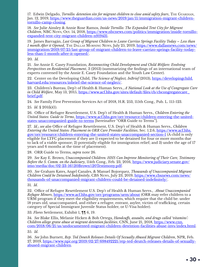<span id="page-29-0"></span>[17.](#page-10-0) Edwin Delgado, *Tornillo: detention site for migrant children to close amid safety fears*, THE GUARDIAN, Jan. 12, 2019, [https://www.theguardian.com/us-news/2019/jan/11/immigration-migrant-children](https://www.theguardian.com/us-news/2019/jan/11/immigration-migrant-children-tornillo-camp-closing)[tornillo-camp-closing](https://www.theguardian.com/us-news/2019/jan/11/immigration-migrant-children-tornillo-camp-closing).

[18](#page-10-0)*. See* Julie Ainsley & Annie Rose Ramos, *Inside Tornillo: The Expanded Tent City for Migrant Children*, NBC News, Oct. 14, 2018, [https://www.nbcnews.com/politics/immigration/inside-tornillo](https://www.nbcnews.com/politics/immigration/inside-tornillo-expanded-tent-city-migrant-children-n919431)[expanded-tent-city-migrant-children-n919431](https://www.nbcnews.com/politics/immigration/inside-tornillo-expanded-tent-city-migrant-children-n919431).

[19.](#page-10-0) James Barragán, *Last Group of Migrant Children to Leave Carrizo Springs Facility Today – Less than 1 month After it Opened*, The Dallas Morning News, July 25, 2019, [https://www.dallasnews.com/news/](https://www.dallasnews.com/news/immigration/2019/07/25/last-group-of-migrant-children-to-leave-carrizo-springs-facility-today-less-than-1-month-after-it-opened/) [immigration/2019/07/25/last-group-of-migrant-children-to-leave-carrizo-springs-facility-today](https://www.dallasnews.com/news/immigration/2019/07/25/last-group-of-migrant-children-to-leave-carrizo-springs-facility-today-less-than-1-month-after-it-opened/)[less-than-1-month-after-it-opened/.](https://www.dallasnews.com/news/immigration/2019/07/25/last-group-of-migrant-children-to-leave-carrizo-springs-facility-today-less-than-1-month-after-it-opened/)

[20](#page-10-0)*. Id.*

[21.](#page-11-0) *See* Annie E. Casey Foundation, *Reconnecting Child Development and Child Welfare: Evolving Perspectives on Residential Placement*, 3 (2013) (summarizing the findings of an international team of experts convened by the Annie E. Casey Foundation and the Youth Law Center).

[22](#page-11-0). Center on the Developing Child, *The Science of Neglect, InBrief* (2013), [https://developingchild.](https://developingchild.harvard.edu/resources/inbrief-the-science-of-neglect/) [harvard.edu/resources/inbrief-the-science-of-neglect/](https://developingchild.harvard.edu/resources/inbrief-the-science-of-neglect/).

[23](#page-11-0). Children's Bureau, Dep't of Health & Human Servs., *A National Look at the Use of Congregate Care in Child Welfare*, May 13, 2015, https://www.acf.hhs.gov/sites/default/files/cb/cbcongregatecare [brief.pdf.](https://www.acf.hhs.gov/sites/default/files/cb/cbcongregatecare_brief.pdf)

[24](#page-11-0)*. See* Family First Prevention Services Act of 2018, H.R. 253, 115th Cong., Pub. L. 115-123.

[25](#page-11-0)*. Id*. § 201(k)(1).

[26.](#page-12-0) Office of Refugee Resettlement, U.S. Dep't of Health & Human Servs., *Children Entering the United States: Guide to Terms*, [https://www.acf.hhs.gov/orr/resource/children-entering-the-united](https://www.acf.hhs.gov/orr/resource/children-entering-the-united-states-unaccompanied-guide-to-terms)[states-unaccompanied-guide-to-terms](https://www.acf.hhs.gov/orr/resource/children-entering-the-united-states-unaccompanied-guide-to-terms) [hereinafter "ORR Guide to Terms"].

[27](#page-12-0)*. Id*.; *see also* Office of Refugee Resettlement, U.S. Dep't of Health & Human Servs., *Children Entering the United States: Placement in ORR Care Provider Facilities*, Sec. 1.2.6, [https://www.acf.hhs.](https://www.acf.hhs.gov/orr/resource/children-entering-the-united-states-unaccompanied-section-1) [gov/orr/resource/children-entering-the-united-states-unaccompanied-section-1](https://www.acf.hhs.gov/orr/resource/children-entering-the-united-states-unaccompanied-section-1) (A child is only eligible for LTFC placement if they are 1) expected to be detained for four or more months due to lack of a viable sponsor; 2) potentially eligible for immigration relief; and 3) under the age of 17 years and 6 months at the time of placement).

[28](#page-12-0). ORR Guide to Terms, *supra* note 26.

[29](#page-12-0). *See* Kay E. Brown, *Unaccompanied Children: HHS Can Improve Monitoring of Their Care, Testimony Before the S. Comm. on the Judiciary*, 114th Cong., Feb. 23, 2016, [https://www.judiciary.senate.gov/](https://www.judiciary.senate.gov/imo/media/doc/02-23-16%20Brown%20Testimony.pdf) [imo/media/doc/02-23-16%20Brown%20Testimony.pdf](https://www.judiciary.senate.gov/imo/media/doc/02-23-16%20Brown%20Testimony.pdf).

[30](#page-12-0). *See* Graham Kates, Angel Canales, & Manuel Bojorquez, *Thousands of Unaccompanied Migrant Children Could be Detained Indefinitely*, CBS News, July 23, 2019, [https://www.cbsnews.com/news/](https://www.cbsnews.com/news/thousands-of-unaccompanied-migrant-children-could-be-detained-indefinitely/) [thousands-of-unaccompanied-migrant-children-could-be-detained-indefinitely/](https://www.cbsnews.com/news/thousands-of-unaccompanied-migrant-children-could-be-detained-indefinitely/).

[31](#page-12-0)*. Id*.

[32](#page-12-0). Office of Refugee Resettlement U.S. Dep't of Health & Human Servs., *About Unaccompanied Refugee Minors*, <https://www.acf.hhs.gov/orr/programs/urm/about> (ORR may refer children to a URM program if they meet the eligibility requirements, which require that the child be: under 18 years old, unaccompanied, and either a refugee, entrant, asylee, victim of trafficking, certain category of Special Immigrant Juvenile Status holder, or U-Visa holder).

[33](#page-13-0). *Flores* Settlement, Exhibit 1, ¶¶ 6, 19.

[34](#page-13-0). *See* Blake Ellis, Melanie Hicken & Bob Ortega, *Handcuffs, assaults, and drugs called 'vitamins': Children allege grave abuse at migrant detention facilities*, CNN, June 21, 2018, [https://www.cnn.](https://www.cnn.com/2018/06/21/us/undocumented-migrant-children-detention-facilities-abuse-invs/index.html) [com/2018/06/21/us/undocumented-migrant-children-detention-facilities-abuse-invs/index.html.](https://www.cnn.com/2018/06/21/us/undocumented-migrant-children-detention-facilities-abuse-invs/index.html)

[35.](#page-13-0) *Id*.

[36.](#page-13-0) *See* John Burnett, *Rep. Ted Deutch Releases Details Of Sexually Abused Migrant Children*, NPR, Feb. 27, 2019, [https://www.npr.org/2019/02/27/698492221/rep-ted-deutch-releases-details-of-sexually](https://www.npr.org/2019/02/27/698492221/rep-ted-deutch-releases-details-of-sexually-abused-migrant-children)[abused-migrant-children](https://www.npr.org/2019/02/27/698492221/rep-ted-deutch-releases-details-of-sexually-abused-migrant-children).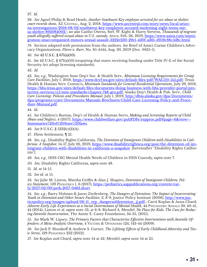<span id="page-30-0"></span>[37.](#page-13-0) *Id*.

[38](#page-13-0). *See* Agnel Philip & Brad Heath, *Another Southwest Key employee arrested for sex abuse at shelter, court records show*, AZ CENTRAL, Aug. 2, 2018, [https://www.azcentral.com/story/news/local/arizo](https://www.azcentral.com/story/news/local/arizona-investigations/2018/08/02/southwest-key-employee-accused-molesting-eight-teens-mesa-shelter/892084002/)[na-investigations/2018/08/02/southwest-key-employee-accused-molesting-eight-teens-me](https://www.azcentral.com/story/news/local/arizona-investigations/2018/08/02/southwest-key-employee-accused-molesting-eight-teens-mesa-shelter/892084002/)[sa-shelter/892084002/;](https://www.azcentral.com/story/news/local/arizona-investigations/2018/08/02/southwest-key-employee-accused-molesting-eight-teens-mesa-shelter/892084002/) *see also* Caitlin Owens, Stef. W. Kight & Harry Stevens, *Thousands of migrant youth allegedly suffered sexual abuse in U.S. custody*, Axios, Feb. 26, 2019, [https://www.axios.com/immi](https://www.axios.com/immigration-unaccompanied-minors-sexual-assault-3222e230-29e1-430f-a361-d959c88c5d8c.html)[gration-unaccompanied-minors-sexual-assault-3222e230-29e1-430f-a361-d959c88c5d8c.html.](https://www.axios.com/immigration-unaccompanied-minors-sexual-assault-3222e230-29e1-430f-a361-d959c88c5d8c.html)

[39](#page-14-0). Section adapted with permission from the authors. *See* Brief of Amici Curiae Children's Advocacy Organizations, *Flores v. Barr*, No. 85-4544, Aug. 30, 2019 (Doc. #635-1).

[40](#page-14-0). *See* 42 U.S.C. § 671(a)(10).

[41](#page-14-0). *See* 42 U.S.C. § 671(a)(10) (requiring that states receiving funding under Title IV-E of the Social Security Act adopt licensing standards).

[42](#page-14-0). *Id*.

[43](#page-14-0)*. See, e.g.*, Washington State Dep't Soc. & Health Serv., *Minimum Licensing Requirements for Group Care Facilities*, July 1, 2018, [https://www.dcyf.wa.gov/sites/default/files/pdf/WAC110-145.pdf;](https://www.dcyf.wa.gov/sites/default/files/pdf/WAC110-145.pdf) Texas Health & Human Serv. Comm'n, *Minimum Standards for General Residential Operations*, July 29, 2018, [https://hhs.texas.gov/sites/default/files/documents/doing-business-with-hhs/provider-portal/pro](https://hhs.texas.gov/sites/default/files/documents/doing-business-with-hhs/provider-portal/protective-services/ccl/min-standards/chapter-748-gro.pdf)[tective-services/ccl/min-standards/chapter-748-gro.pdf](https://hhs.texas.gov/sites/default/files/documents/doing-business-with-hhs/provider-portal/protective-services/ccl/min-standards/chapter-748-gro.pdf); Alaska Dep't Health & Pub. Serv., *Child Care Licensing: Policies and Procedures Manual*, July 1, 2019, [http://dhss.alaska.gov/dpa/Documents/](http://dhss.alaska.gov/dpa/Documents/dpa/programs/ccare/Documents/Manuals-Brochures/Child-Care-Licensing-Policy-and-Procedure-Manual.pdf) [dpa/programs/ccare/Documents/Manuals-Brochures/Child-Care-Licensing-Policy-and-Proce](http://dhss.alaska.gov/dpa/Documents/dpa/programs/ccare/Documents/Manuals-Brochures/Child-Care-Licensing-Policy-and-Procedure-Manual.pdf)[dure-Manual.pdf](http://dhss.alaska.gov/dpa/Documents/dpa/programs/ccare/Documents/Manuals-Brochures/Child-Care-Licensing-Policy-and-Procedure-Manual.pdf).

[44](#page-14-0)*. Id*.

[45](#page-14-0). *See* Children's Bureau, Dep't of Health & Human Servs, *Making and Screening Reports of Child Abuse and Neglect*, 4 (2017), [https://www.childwelfare.gov/pubPDFs/repproc.pdf#page=6&view=-](https://www.childwelfare.gov/pubPDFs/repproc.pdf#page=6&view=Summaries%20of%20State%20laws) [Summaries%20of%20State%20laws](https://www.childwelfare.gov/pubPDFs/repproc.pdf#page=6&view=Summaries%20of%20State%20laws).

[46](#page-15-0). *See* 8 U.S.C. § 1232(c)(2)(A).

[47](#page-15-0)*. Flores* Settlement, ¶ 21.

[48](#page-16-0)*. See, e.g.*, Disability Rights California, *The Detention of Immigrant Children with Disabilities in California: A Snapshot*, 14-17, July 26, 2019, [https://www.disabilityrightsca.org/post/the-detention-of-im](https://www.disabilityrightsca.org/post/the-detention-of-immigrant-children-with-disabilities-in-california-a-snapshot)[migrant-children-with-disabilities-in-california-a-snapshot](https://www.disabilityrightsca.org/post/the-detention-of-immigrant-children-with-disabilities-in-california-a-snapshot). [hereinafter "Disability Rights California"].

49*. See, e.g.*, HHS OIG Mental Health Needs of Children in HHS Custody, *supra* note 7.

50*. See,* Disability Rights California, *supra* note 48.

51*. Id*. at 14-15.

52*. See id*. at 15.

[53](#page-16-0)*. See* Julie M. Linton, Marsha Griffin & Alan J. Shapiro, *Detention of Immigrant Children, Policy Statement*, 139 PEDIATRICS 1, 6 (2017), [https://pediatrics.aappublications.org/content/ear](https://pediatrics.aappublications.org/content/early/2017/03/09/peds.2017-0483.short)[ly/2017/03/09/peds.2017-0483.short](https://pediatrics.aappublications.org/content/early/2017/03/09/peds.2017-0483.short).

[54](#page-16-0)*. See, e.g.*, Barry Holman & Jason Ziedenberg, *The Dangers of Detention; The Impact of Incarcerating Youth in Detention and Other Secure Facilities*, 2, 8-9, Justice Policy Institute (2006), [http://www.jus](http://www.justicepolicy.org/images/upload/06-11_rep_dangersofdetention_jj.pdf)[ticepolicy.org/images/upload/06-11\\_rep\\_dangersofdetention\\_jj.pdf.](http://www.justicepolicy.org/images/upload/06-11_rep_dangersofdetention_jj.pdf); Carol Koplan & Anna Chard, *Adverse Early Life Experiences as a Social Determinant of Mental Health*, 44 Psychiatric Annals 39, 40-41, 44 (2014); Linton et al. *supra* note 53, at 6-8; Richard A. Mendel, *No Place for Kids: The Case for Reducing Juvenile Incarceration*, The Annie E. Casey Foundation, 34-35, (2011).

[55](#page-16-0). *See* Mark W. Lipsey, *The Primary Factors that Characterize Effective Interventions with Juvenile Offenders: A Meta-Analytic Overview*, 4 VICTIMS & OFFENDERS 124, 143-44 (2009).

[56](#page-16-0). *See* Jack P. Shonkoff & Andrew S. Garner, *The Lifelong Effects of Early Childhood Adversity and Toxic Stress*, 129 PEDIATRICS 232 (2012).

[57](#page-16-0). *See* Koplan and Chard, *supra* note 54 at 42; Mendel, *supra* note 54 at 25.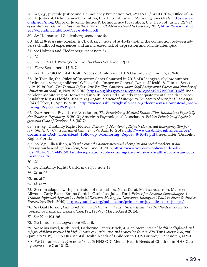<span id="page-31-0"></span>[58](#page-17-0)*. See, e.g.*, Juvenile Justice and Delinquency Prevention Act, 42 U.S.C. § 5601 (1974); Office of Juvenile Justice & Delinquency Prevention, U.S. Dep't of Justice, *Model Programs Guide*, [https://www.](https://www.ojjdp.gov/mpg) [ojjdp.gov/mpg](https://www.ojjdp.gov/mpg)[;](http://www.ojjdp.gov/mpg/%3B) Office of Juvenile Justice & Delinquency Prevention, U.S. Dep't of Justice, *Report of the Attorney General's National Task Force on Children Exposed to Violence*, 2012, [https://www.justice.](https://www.justice.gov/defendingchildhood/cev-rpt-full.pdf) [gov/defendingchildhood/cev-rpt-full.pdf](https://www.justice.gov/defendingchildhood/cev-rpt-full.pdf).

[59](#page-17-0)*. See* Holman and Ziedenberg, *supra* note 54.

[60](#page-17-0)*. Id*. at 8-9; *see also* Koplan & Chard, *supra* note 54 at 41-42 (noting the connection between adverse childhood experiences and an increased risk of depression and suicide attempts).

[61](#page-17-0)*. See* Holman and Ziedenberg, *supra* note 54.

[62](#page-17-0)*. Id*.

[63.](#page-18-0) *See* 8 U.S.C. § 1232(c)(2)(A); *see also Flores* Settlement ¶ 11.

[64](#page-18-0). *Flores* Settlement, ¶¶ 6, 7.

[65](#page-18-0). *See* HHS OIG Mental Health Needs of Children in HHS Custody, *supra* note 7, at 9-10.

[66.](#page-18-0) In Tornillo, the Office of Inspector General warned in 2018 of a "dangerously low number of clinicians serving children." Office of the Inspector General, Dep't of Health & Human Servs., A-12-19-20000, *The Tornillo Influx Care Facility: Concerns About Staff Background Checks and Number of Clinicians on Staff*, 8, Nov. 27, 2018, [https://oig.hhs.gov/oas/reports/region12/121920000.pdf.](https://oig.hhs.gov/oas/reports/region12/121920000.pdf) Independent monitoring of Homestead in 2019 revealed similarly inadequate mental health services. Disability Rights Florida, *Monitoring Report: Homestead Emergency Temporary Shelter for Unaccompanied Children*, 11, Apr. 12, 2019, [http://www.disabilityrightsflorida.org/documents/Homestead\\_Mon](http://www.disabilityrightsflorida.org/documents/Homestead_Monitoring_Report_4-12-19.pdf)[itoring\\_Report\\_4-12-19.pdf](http://www.disabilityrightsflorida.org/documents/Homestead_Monitoring_Report_4-12-19.pdf).

[67.](#page-18-0) *See* American Psychiatric Association, *The Principles of Medical Ethics: With Annotations Especially Applicable to Psychiatry*, 6 (2013); American Psychological Association, *Ethical Principles of Psychologists and Code of Conduct*, 7-8 (2017).

[68](#page-18-0). S*ee, e.g.*, Disability Rights Florida, *Follow-up Monitoring Report: Homestead Emergency Temporary Shelter for Unaccompanied Children*, 8-9, Aug. 16, 2019, [http://www.disabilityrightsflorida.org/](http://www.disabilityrightsflorida.org/documents/DRF_Homestead_Followup_Monitoring_Report_8-16-19.pdf) [documents/DRF\\_Homestead\\_Followup\\_Monitoring\\_Report\\_8-16-19.pdf](http://www.disabilityrightsflorida.org/documents/DRF_Homestead_Followup_Monitoring_Report_8-16-19.pdf) [hereinafter "Disability Rights Florida"].

[69](#page-18-0)*. See, e.g.*, Ella Nilsen, *Kids who cross the border meet with therapists and social workers. What they say can be used against them*, Vox, June 19, 2018, [https://www.vox.com/policy-and-poli](https://www.vox.com/policy-and-politics/2018/6/18/17449150/family-separation-policy-immigration-dhs-orr-health-records-undocumented-kids)[tics/2018/6/18/17449150/family-separation-policy-immigration-dhs-orr-health-records-undocu](https://www.vox.com/policy-and-politics/2018/6/18/17449150/family-separation-policy-immigration-dhs-orr-health-records-undocumented-kids)[mented-kids](https://www.vox.com/policy-and-politics/2018/6/18/17449150/family-separation-policy-immigration-dhs-orr-health-records-undocumented-kids).

[70.](#page-18-0) *Id*.

[71](#page-18-0). *See* Disability Rights California, *supra* note 48.

[72](#page-18-0). *Id*. at 26.

[73](#page-18-0)*. Id*. at 7.

[74](#page-18-0)*. Id*. at 29.

[75](#page-19-0). Section adapted with permission of the authors. Neha Desai, Melissa Adamson, Maureen Allwood, Carly Baetz, Emma Cardeli, Osob Issa, Julian Ford, *Primer for Juvenile Court Judges: A Trauma-Informed Approach to Judicial Decision-Making for Newcomer Immigrant Youth in Juvenile Justice Proceedings* (Feb. 2019), [https://youthlaw.org/publication/primer-for-juvenile-court-judges/.](https://youthlaw.org/publication/primer-for-juvenile-court-judges/)

[76](#page-19-0)*. See* Gail Hornor, *Childhood Trauma Exposure and Toxic Stress: What the PNP Needs to Know*, 29 JOURNAL OF PEDIATRIC HEALTH CARE 191, 192-93 (March/April 2015).

[77](#page-19-0)*. See id*. at 194-96.

[78](#page-19-0)*. See* Linton et al., *supra* note 53, at 6.

[79](#page-19-0)*. See* Mina Fazel, Ruth Reed, Catherine Panter-Brick, & Alan Stein, *Mental health of displaced and refugee children resettled in high-income countries: risk and protective factors*, 379 THE LANCET 266, 280, (January 2012); HHS OIG Mental Health Needs of Children in HHS Custody, *supra* note 7, at 9-11.

[80](#page-20-0)*. See* Linton et al., *supra* note 53, at 6; HHS OIG Mental Health Needs of Children in HHS Custody, *supra* note 7, at 12-13.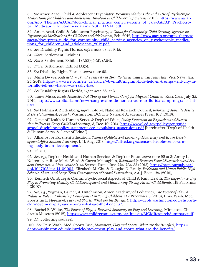<span id="page-32-0"></span>[81.](#page-20-0) *See* Amer. Acad. Child & Adolescent Psychiatry, *Recommendations about the Use of Psychotropic Medications for Children and Adolescents Involved in Child-Serving Systems* (2015), [https://www.aacap.](https://www.aacap.org/App_Themes/AACAP/docs/clinical_practice_center/systems_of_care/AACAP_Psychotro) [org/App\\_Themes/AACAP/docs/clinical\\_practice\\_center/systems\\_of\\_care/AACAP\\_Psychotro](https://www.aacap.org/App_Themes/AACAP/docs/clinical_practice_center/systems_of_care/AACAP_Psychotro)[pic\\_Medication\\_Recommendations\\_2015\\_FINAL.pdf.](https://www.aacap.org/App_Themes/AACAP/docs/clinical_practice_center/systems_of_care/AACAP_Psychotro)

[82](#page-20-0). Amer. Acad. Child & Adolescent Psychiatry, *A Guide for Community Child Serving Agencies on Psychotropic Medications for Children and Adolescents*, Feb. 2012, http://www.aacap.org/app\_themes/ aacap/docs/press/guide\_for\_community\_child\_serving\_agencies\_on\_psychotropic\_medications for children and adolescents 2012.pdf.

[83](#page-20-0)*. See* Disability Rights Florida, *supra* note 68, at 9, 15.

[84](#page-21-0)*. Flores* Settlement, Exhibit 1.

[85](#page-21-0)*. Flores* Settlement, Exhibit 1 (A)(3)(c)-(d), (A)(4).

[86](#page-21-0)*. Flores* Settlement, Exhibit (A)(5).

[87](#page-21-0). *See* Disability Rights Florida, *supra* note 68.

[88](#page-21-0). Mimi Dwyer, *Kids held in Trump's tent city in Tornillo tell us what it was really like*, Vice News, Jan. 25, 2019, [https://www.vice.com/en\\_us/article/vbwmn9/migrant-kids-held-in-trumps-tent-city-in](https://www.vice.com/en_us/article/vbwmn9/migrant-kids-held-in-trumps-tent-city-in-tornillo-tell-us-what-it-was-really-like)[tornillo-tell-us-what-it-was-really-like.](https://www.vice.com/en_us/article/vbwmn9/migrant-kids-held-in-trumps-tent-city-in-tornillo-tell-us-what-it-was-really-like)

[89](#page-21-0). *See* Disability Rights Florida, *supra* note 68, at 3.

[90](#page-21-0). Tanvi Misra, *Inside Homestead: A Tour of the Florida Camp for Migrant Children*, ROLL CALL, July 25, 2019, [https://www.rollcall.com/news/congress/inside-homestead-tour-florida-camp-migrant-chil](https://www.rollcall.com/news/congress/inside-homestead-tour-florida-camp-migrant-children)[dren](https://www.rollcall.com/news/congress/inside-homestead-tour-florida-camp-migrant-children).

[91](#page-22-0)*. See* Holman & Ziedenberg, *supra* note 54; National Research Council, *Reforming Juvenile Justice: A Developmental Approach*, Washington, DC: The National Academies Press, 102 (2013).

[92.](#page-22-0) Dep't of Health & Human Servs. & Dep't of Educ., *Policy Statement on Expulsion and Suspension Policies in Early Childhood Settings*, 3, Dec. 10, 2014, [https://www2.ed.gov/policy/gen/guid/](https://www2.ed.gov/policy/gen/guid/school-discipline/policy-statement-ece-expulsions-suspensions.pd) [school-discipline/policy-statement-ece-expulsions-suspensions.pdf](https://www2.ed.gov/policy/gen/guid/school-discipline/policy-statement-ece-expulsions-suspensions.pd) [hereinafter "Dep't of Health & Human Servs. & Dep't of Educ."].

[93.](#page-22-0) Alliance for Excellent Education, *Science of Adolescent Learning: How Body and Brain Development Affect Student Learning*, 1, 11, Aug. 2018, [https://all4ed.org/science-of-adolescent-learn](https://all4ed.org/science-of-adolescent-learning-body-brain-development/)[ing-body-brain-development/.](https://all4ed.org/science-of-adolescent-learning-body-brain-development/)

[94](#page-22-0)*. Id*. at 1.

[95](#page-22-0)*. See, e.g.*, Dep't of Health and Human Services & Dep't of Educ., *supra* note 92 at 3; Amity L. Noltemeyer, Rose Marie Ward, & Caven Mcloughlin, *Relationship Between School Suspension and Stu*dent Outcomes: A Meta-Analysis, 44 SCHOOL PSYCH. REV. 224, 234-35 (2015), [https://naspjournals.org/](https://naspjournals.org/doi/10.17105/spr-14-0008.1) [doi/10.17105/spr-14-0008.1](https://naspjournals.org/doi/10.17105/spr-14-0008.1); Elizabeth M. Chu & Douglas D. Ready, *Exclusion and Urban Public High Schools: Short- and Long-Term Consequences of School Suspensions, Am. J. Educ. 124 (2018),* 

[96.](#page-22-0) Kenneth Ginsburg & Comm. Psychosocial Aspects of Child & Fam. Health, *The Importance of of Play in Promoting Healthy Child Development and Maintaining Strong Parent-Child Bonds*, 119 PEDIATRICS 1 (2007).

[97](#page-22-0)*. See, e.g.*, Yogman, Garner, & Hutchinson, Amer. Academy of Pediatrics, *The Power of Play: A Pediatric Role in Enhancing Development in Young Children*, 142 PEDIATRICS 3 (2018); Univ. Wash. Med. Sports Inst., *Movement, Play and Sports: What are the Benefits?*, [https://depts.washington.edu/shsi/arti](https://depts.washington.edu/shsi/article/movement-play-and-sports-what-are-the-benefits/)[cle/movement-play-and-sports-what-are-the-benefits/](https://depts.washington.edu/shsi/article/movement-play-and-sports-what-are-the-benefits/).

[98](#page-22-0). Rachel E. White, *The Power of Play, A Research Summary on Play and Learning*, Minnesota Children's Museum (2012), [https://www.childrensmuseums.org/images/MCMResearchSummary.pdf.](https://www.childrensmuseums.org/images/MCMResearchSummary.pdf)

[99](#page-22-0)*. Id*. (collecting sources).

[100.](#page-22-0) *See* Univ. Wash. Med. Sports Inst., *Movement, Play and Sports: What are the Benefits?*, [https://](https://depts.washington.edu/shsi/article/movement-play-and-sports-what-are-the-benefits/) [depts.washington.edu/shsi/article/movement-play-and-sports-what-are-the-benefits/](https://depts.washington.edu/shsi/article/movement-play-and-sports-what-are-the-benefits/).